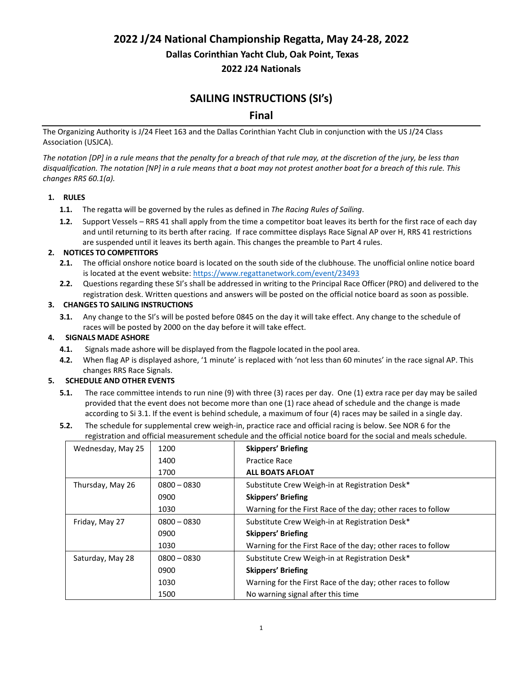**2022 J/24 National Championship Regatta, May 24-28, 2022**

**Dallas Corinthian Yacht Club, Oak Point, Texas**

**2022 J24 Nationals** 

## **SAILING INSTRUCTIONS (SI's)**

**Final**

The Organizing Authority is J/24 Fleet 163 and the Dallas Corinthian Yacht Club in conjunction with the US J/24 Class Association (USJCA).

*The notation [DP] in a rule means that the penalty for a breach of that rule may, at the discretion of the jury, be less than disqualification. The notation [NP] in a rule means that a boat may not protest another boat for a breach of this rule. This changes RRS 60.1(a).*

## **1. RULES**

- **1.1.** The regatta will be governed by the rules as defined in *The Racing Rules of Sailing*.
- **1.2.** Support Vessels RRS 41 shall apply from the time a competitor boat leaves its berth for the first race of each day and until returning to its berth after racing. If race committee displays Race Signal AP over H, RRS 41 restrictions are suspended until it leaves its berth again. This changes the preamble to Part 4 rules.

## **2. NOTICES TO COMPETITORS**

- **2.1.** The official onshore notice board is located on the south side of the clubhouse. The unofficial online notice board is located at the event website[: https://www.regattanetwork.com/event/23493](https://www.regattanetwork.com/event/23493)
- **2.2.** Questions regarding these SI's shall be addressed in writing to the Principal Race Officer(PRO) and delivered to the registration desk. Written questions and answers will be posted on the official notice board as soon as possible.

#### **3. CHANGES TO SAILING INSTRUCTIONS**

**3.1.** Any change to the SI's will be posted before 0845 on the day it will take effect. Any change to the schedule of races will be posted by 2000 on the day before it will take effect.

## **4. SIGNALS MADE ASHORE**

- **4.1.** Signals made ashore will be displayed from the flagpole located in the pool area.
- **4.2.** When flag AP is displayed ashore, '1 minute' is replaced with 'not less than 60 minutes' in the race signal AP. This changes RRS Race Signals.

## **5. SCHEDULE AND OTHER EVENTS**

- **5.1.** The race committee intends to run nine (9) with three (3) races per day. One (1) extra race per day may be sailed provided that the event does not become more than one (1) race ahead of schedule and the change is made according to Si 3.1. If the event is behind schedule, a maximum of four (4) races may be sailed in a single day.
- **5.2.** The schedule for supplemental crew weigh-in, practice race and official racing is below. See NOR 6 for the registration and official measurement schedule and the official notice board for the social and meals schedule.

| Wednesday, May 25 | 1200          | <b>Skippers' Briefing</b>                                    |  |
|-------------------|---------------|--------------------------------------------------------------|--|
|                   | 1400          | <b>Practice Race</b>                                         |  |
|                   | 1700          | <b>ALL BOATS AFLOAT</b>                                      |  |
| Thursday, May 26  | $0800 - 0830$ | Substitute Crew Weigh-in at Registration Desk*               |  |
|                   | 0900          | <b>Skippers' Briefing</b>                                    |  |
|                   | 1030          | Warning for the First Race of the day; other races to follow |  |
| Friday, May 27    | $0800 - 0830$ | Substitute Crew Weigh-in at Registration Desk*               |  |
|                   | 0900          | <b>Skippers' Briefing</b>                                    |  |
|                   | 1030          | Warning for the First Race of the day; other races to follow |  |
| Saturday, May 28  | $0800 - 0830$ | Substitute Crew Weigh-in at Registration Desk*               |  |
|                   | 0900          | <b>Skippers' Briefing</b>                                    |  |
|                   | 1030          | Warning for the First Race of the day; other races to follow |  |
|                   | 1500          | No warning signal after this time                            |  |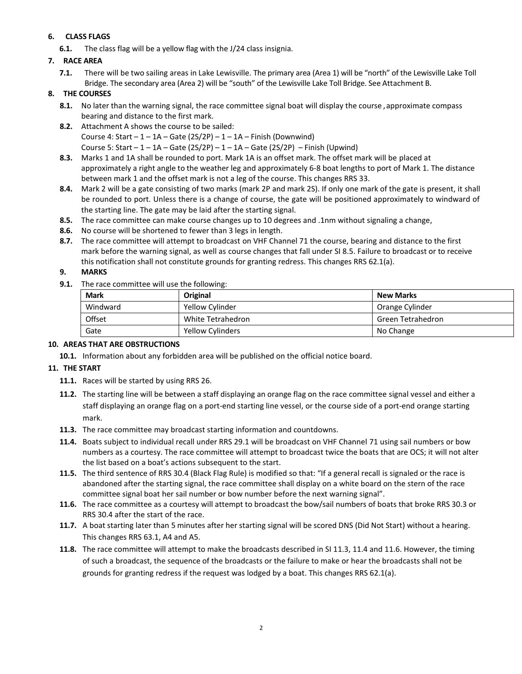## **6. CLASS FLAGS**

**6.1.** The class flag will be a yellow flag with the J/24 class insignia.

## **7. RACE AREA**

**7.1.** There will be two sailing areas in Lake Lewisville. The primary area (Area 1) will be "north" of the Lewisville Lake Toll Bridge. The secondary area (Area 2) will be "south" of the Lewisville Lake Toll Bridge. See Attachment B.

### **8. THE COURSES**

- **8.1.** No later than the warning signal, the race committee signal boat will display the course , approximate compass bearing and distance to the first mark.
- **8.2.** Attachment A shows the course to be sailed: Course 4: Start  $-1 - 1A -$  Gate (2S/2P)  $-1 - 1A -$  Finish (Downwind) Course 5: Start  $-1 - 1A -$  Gate (2S/2P)  $-1 - 1A -$  Gate (2S/2P)  $-$  Finish (Upwind)
- **8.3.** Marks 1 and 1A shall be rounded to port. Mark 1A is an offset mark. The offset mark will be placed at approximately a right angle to the weather leg and approximately 6-8 boat lengths to port of Mark 1. The distance between mark 1 and the offset mark is not a leg of the course. This changes RRS 33.
- **8.4.** Mark 2 will be a gate consisting of two marks (mark 2P and mark 2S). If only one mark of the gate is present, it shall be rounded to port. Unless there is a change of course, the gate will be positioned approximately to windward of the starting line. The gate may be laid after the starting signal.
- **8.5.** The race committee can make course changes up to 10 degrees and .1nm without signaling a change,
- **8.6.** No course will be shortened to fewer than 3 legs in length.
- **8.7.** The race committee will attempt to broadcast on VHF Channel 71 the course, bearing and distance to the first mark before the warning signal, as well as course changes that fall under SI 8.5. Failure to broadcast or to receive this notification shall not constitute grounds for granting redress. This changes RRS 62.1(a).

## **9. MARKS**

**9.1.** The race committee will use the following:

| <b>Mark</b> | Original                | <b>New Marks</b>  |
|-------------|-------------------------|-------------------|
| Windward    | Yellow Cylinder         | Orange Cylinder   |
| Offset      | White Tetrahedron       | Green Tetrahedron |
| Gate        | <b>Yellow Cylinders</b> | No Change         |

#### **10. AREAS THAT ARE OBSTRUCTIONS**

**10.1.** Information about any forbidden area will be published on the official notice board.

#### **11. THE START**

- **11.1.** Races will be started by using RRS 26.
- **11.2.** The starting line will be between a staff displaying an orange flag on the race committee signal vessel and either a staff displaying an orange flag on a port-end starting line vessel, or the course side of a port-end orange starting mark.
- **11.3.** The race committee may broadcast starting information and countdowns.
- **11.4.** Boats subject to individual recall under RRS 29.1 will be broadcast on VHF Channel 71 using sail numbers or bow numbers as a courtesy. The race committee will attempt to broadcast twice the boats that are OCS; it will not alter the list based on a boat's actions subsequent to the start.
- **11.5.** The third sentence of RRS 30.4 (Black Flag Rule) is modified so that: "If a general recall is signaled or the race is abandoned after the starting signal, the race committee shall display on a white board on the stern of the race committee signal boat her sail number or bow number before the next warning signal".
- **11.6.** The race committee as a courtesy will attempt to broadcast the bow/sail numbers of boats that broke RRS 30.3 or RRS 30.4 after the start of the race.
- **11.7.** A boat starting later than 5 minutes after her starting signal will be scored DNS (Did Not Start) without a hearing. This changes RRS 63.1, A4 and A5.
- **11.8.** The race committee will attempt to make the broadcasts described in SI 11.3, 11.4 and 11.6. However, the timing of such a broadcast, the sequence of the broadcasts or the failure to make or hear the broadcasts shall not be grounds for granting redress if the request was lodged by a boat. This changes RRS 62.1(a).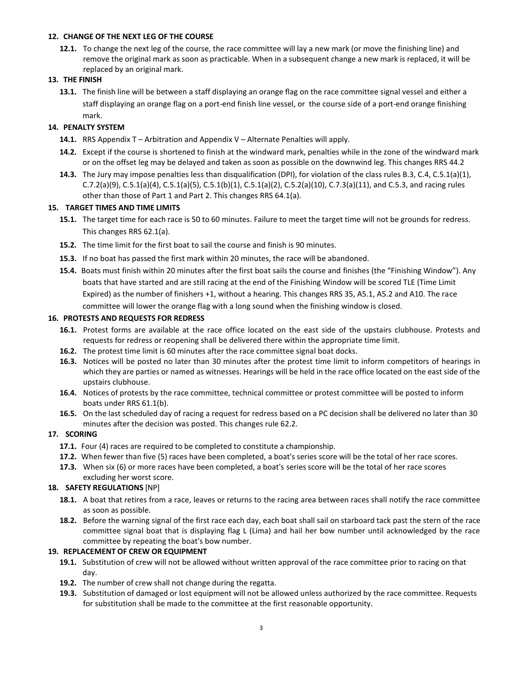#### **12. CHANGE OF THE NEXT LEG OF THE COURSE**

**12.1.** To change the next leg of the course, the race committee will lay a new mark (or move the finishing line) and remove the original mark as soon as practicable. When in a subsequent change a new mark is replaced, it will be replaced by an original mark.

#### **13. THE FINISH**

**13.1.** The finish line will be between a staff displaying an orange flag on the race committee signal vessel and either a staff displaying an orange flag on a port-end finish line vessel, or the course side of a port-end orange finishing mark.

#### **14. PENALTY SYSTEM**

- **14.1.** RRS Appendix T Arbitration and Appendix V Alternate Penalties will apply.
- **14.2.** Except if the course is shortened to finish at the windward mark, penalties while in the zone of the windward mark or on the offset leg may be delayed and taken as soon as possible on the downwind leg. This changes RRS 44.2
- **14.3.** The Jury may impose penalties less than disqualification (DPI), for violation of the class rules B.3, C.4, C.5.1(a)(1), C.7.2(a)(9), C.5.1(a)(4), C.5.1(a)(5), C.5.1(b)(1), C.5.1(a)(2), C.5.2(a)(10), C.7.3(a)(11), and C.5.3, and racing rules other than those of Part 1 and Part 2. This changes RRS 64.1(a).

#### **15. TARGET TIMES AND TIME LIMITS**

- **15.1.** The target time for each race is 50 to 60 minutes. Failure to meet the target time will not be grounds for redress. This changes RRS 62.1(a).
- **15.2.** The time limit for the first boat to sail the course and finish is 90 minutes.
- **15.3.** If no boat has passed the first mark within 20 minutes, the race will be abandoned.
- **15.4.** Boats must finish within 20 minutes after the first boat sails the course and finishes (the "Finishing Window"). Any boats that have started and are still racing at the end of the Finishing Window will be scored TLE (Time Limit Expired) as the number of finishers +1, without a hearing. This changes RRS 35, A5.1, A5.2 and A10. The race committee will lower the orange flag with a long sound when the finishing window is closed.

#### **16. PROTESTS AND REQUESTS FOR REDRESS**

- **16.1.** Protest forms are available at the race office located on the east side of the upstairs clubhouse. Protests and requests for redress or reopening shall be delivered there within the appropriate time limit.
- **16.2.** The protest time limit is 60 minutes after the race committee signal boat docks.
- **16.3.** Notices will be posted no later than 30 minutes after the protest time limit to inform competitors of hearings in which they are parties or named as witnesses. Hearings will be held in the race office located on the east side of the upstairs clubhouse.
- **16.4.** Notices of protests by the race committee, technical committee or protest committee will be posted to inform boats under RRS 61.1(b).
- **16.5.** On the last scheduled day of racing a request for redress based on a PC decision shall be delivered no later than 30 minutes after the decision was posted. This changes rule 62.2.

## **17. SCORING**

- **17.1.** Four (4) races are required to be completed to constitute a championship.
- **17.2.** When fewer than five (5) races have been completed, a boat's series score will be the total of her race scores.
- **17.3.** When six (6) or more races have been completed, a boat's series score will be the total of her race scores excluding her worst score.

#### **18. SAFETY REGULATIONS** [NP]

- **18.1.** A boat that retires from a race, leaves or returns to the racing area between races shall notify the race committee as soon as possible.
- **18.2.** Before the warning signal of the first race each day, each boat shall sail on starboard tack past the stern of the race committee signal boat that is displaying flag L (Lima) and hail her bow number until acknowledged by the race committee by repeating the boat's bow number.

#### **19. REPLACEMENT OF CREW OR EQUIPMENT**

- **19.1.** Substitution of crew will not be allowed without written approval of the race committee prior to racing on that day.
- **19.2.** The number of crew shall not change during the regatta.
- **19.3.** Substitution of damaged or lost equipment will not be allowed unless authorized by the race committee. Requests for substitution shall be made to the committee at the first reasonable opportunity.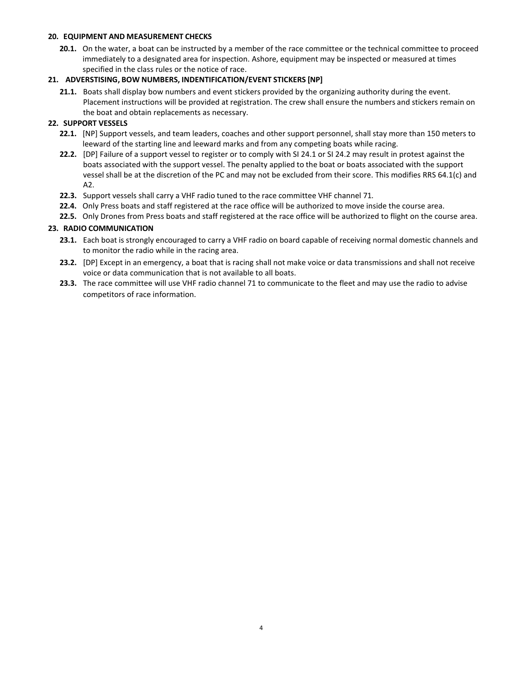#### **20. EQUIPMENT AND MEASUREMENT CHECKS**

**20.1.** On the water, a boat can be instructed by a member of the race committee or the technical committee to proceed immediately to a designated area for inspection. Ashore, equipment may be inspected or measured at times specified in the class rules or the notice of race.

## **21. ADVERSTISING, BOW NUMBERS, INDENTIFICATION/EVENT STICKERS [NP]**

**21.1.** Boats shall display bow numbers and event stickers provided by the organizing authority during the event. Placement instructions will be provided at registration. The crew shall ensure the numbers and stickers remain on the boat and obtain replacements as necessary.

## **22. SUPPORT VESSELS**

- **22.1.** [NP] Support vessels, and team leaders, coaches and other support personnel, shall stay more than 150 meters to leeward of the starting line and leeward marks and from any competing boats while racing.
- **22.2.** [DP] Failure of a support vessel to register or to comply with SI 24.1 or SI 24.2 may result in protest against the boats associated with the support vessel. The penalty applied to the boat or boats associated with the support vessel shall be at the discretion of the PC and may not be excluded from their score. This modifies RRS 64.1(c) and A2.
- **22.3.** Support vessels shall carry a VHF radio tuned to the race committee VHF channel 71.
- **22.4.** Only Press boats and staff registered at the race office will be authorized to move inside the course area.
- **22.5.** Only Drones from Press boats and staff registered at the race office will be authorized to flight on the course area.

## **23. RADIO COMMUNICATION**

- **23.1.** Each boat is strongly encouraged to carry a VHF radio on board capable of receiving normal domestic channels and to monitor the radio while in the racing area.
- **23.2.** [DP] Except in an emergency, a boat that is racing shall not make voice or data transmissions and shall not receive voice or data communication that is not available to all boats.
- **23.3.** The race committee will use VHF radio channel 71 to communicate to the fleet and may use the radio to advise competitors of race information.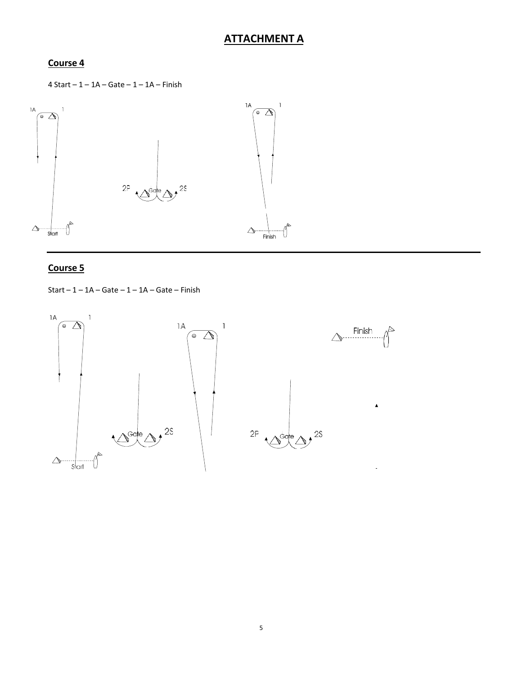# **ATTACHMENT A**

## **Course 4**

4 Start – 1 – 1A – Gate – 1 – 1A – Finish



## **Course 5**

Start –  $1 - 1A -$  Gate –  $1 - 1A -$  Gate – Finish